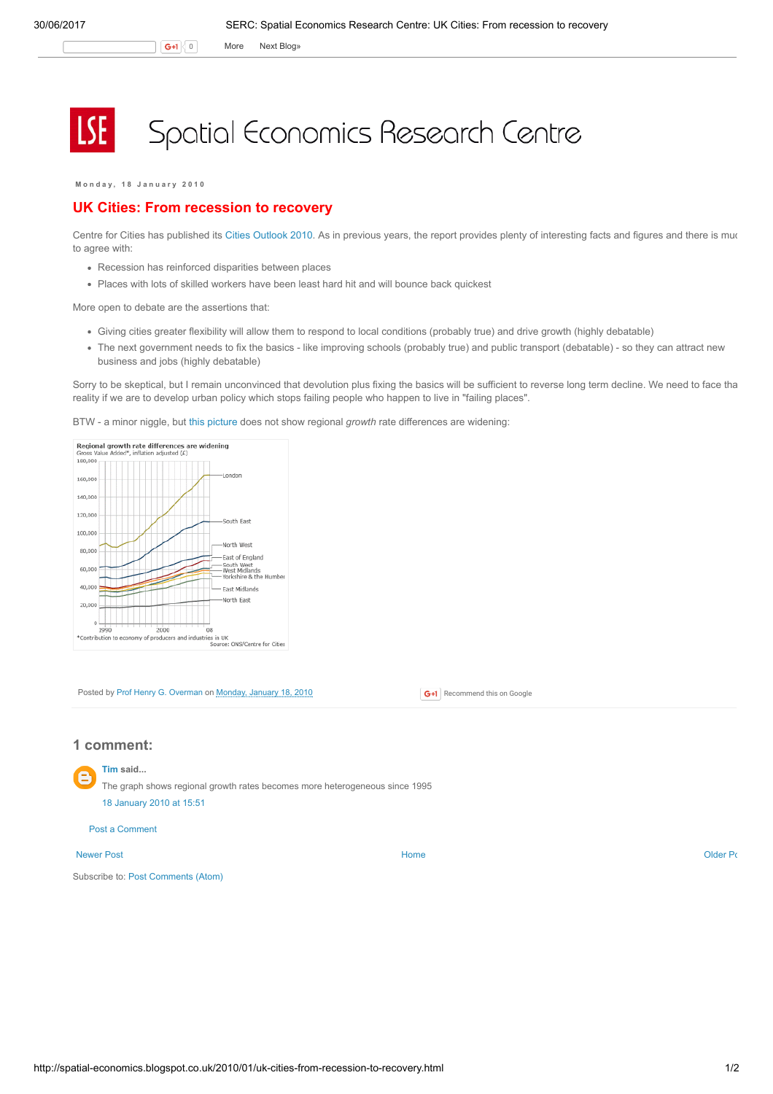G+1 0 More Next [Blog»](https://www.blogger.com/next-blog?navBar=true&blogID=974562301377041914)

# Spatial Economics Research Centre

Monday, 18 January 2010

# UK Cities: From recession to recovery

Centre for Cities has published its Cities [Outlook](http://www.centreforcities.org/assets/files/10-01-15%20Cities%20Outlook%202010.pdf) 2010. As in previous years, the report provides plenty of interesting facts and figures and there is muc to agree with:

- Recession has reinforced disparities between places
- Places with lots of skilled workers have been least hard hit and will bounce back quickest

More open to debate are the assertions that:

- Giving cities greater flexibility will allow them to respond to local conditions (probably true) and drive growth (highly debatable)
- The next government needs to fix the basics like improving schools (probably true) and public transport (debatable) so they can attract new business and jobs (highly debatable)

Sorry to be skeptical, but I remain unconvinced that devolution plus fixing the basics will be sufficient to reverse long term decline. We need to face that reality if we are to develop urban policy which stops failing people who happen to live in "failing places".

BTW - a minor niggle, but this [picture](http://news.bbc.co.uk/1/hi/uk/8464470.stm) does not show regional growth rate differences are widening:



Posted by Prof Henry G. [Overman](https://www.blogger.com/profile/15203876610491317062) on [Monday,](http://spatial-economics.blogspot.co.uk/2010/01/uk-cities-from-recession-to-recovery.html) January 18, 2010

## 1 comment:

[Tim](https://www.blogger.com/profile/08930175702683617125) said... The graph shows regional growth rates becomes more heterogeneous since 1995 18 [January](http://spatial-economics.blogspot.com/2010/01/uk-cities-from-recession-to-recovery.html?showComment=1263829881176#c3398429623287402698) 2010 at 15:51

### Post a [Comment](https://www.blogger.com/comment.g?blogID=974562301377041914&postID=7282930548028551241)

#### [Newer](http://spatial-economics.blogspot.co.uk/2010/01/anatomy-of-economic-inequality.html) Post **New Account Contract Account Contract Account Contract Account Contract Account Contract [Older](http://spatial-economics.blogspot.co.uk/2010/01/empty-homes.html) Post**

Subscribe to: Post [Comments](http://spatial-economics.blogspot.com/feeds/7282930548028551241/comments/default) (Atom)

**G+1** Recommend this on Google